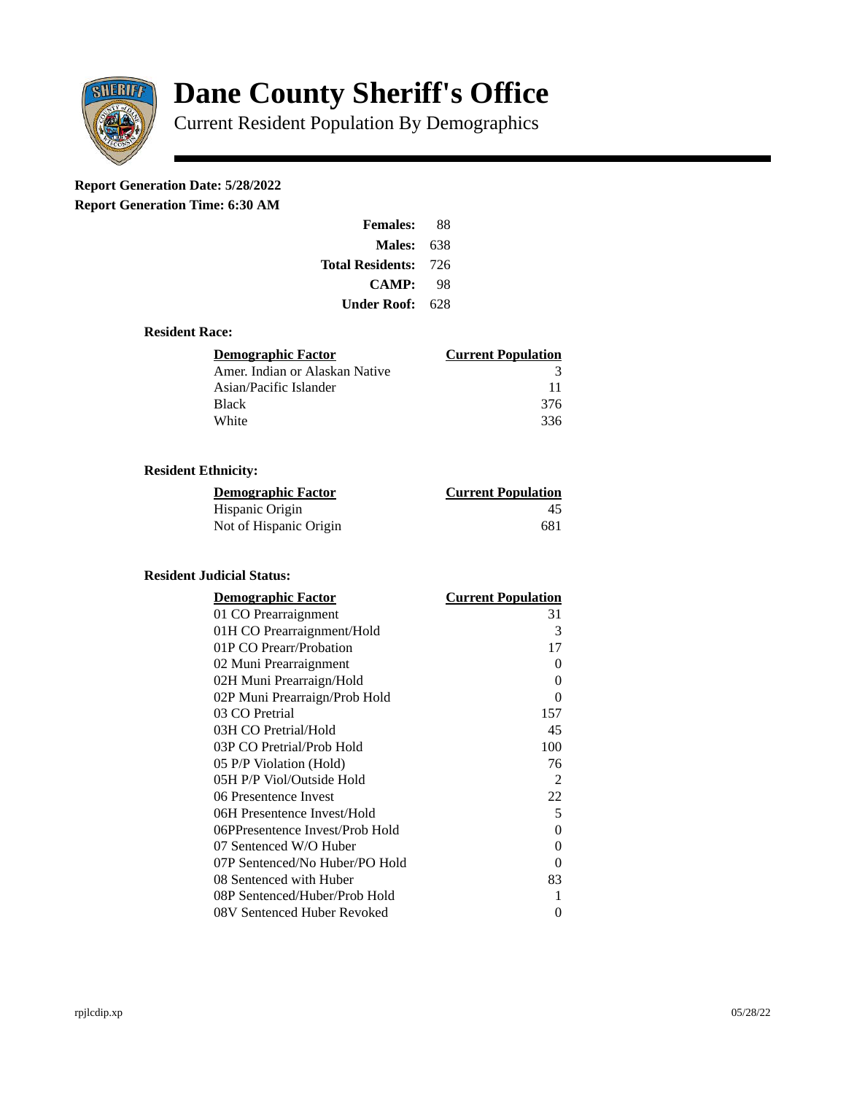

# **Dane County Sheriff's Office**

Current Resident Population By Demographics

# **Report Generation Date: 5/28/2022**

**Report Generation Time: 6:30 AM** 

| <b>Females:</b>         | 88   |
|-------------------------|------|
| Males:                  | 638  |
| <b>Total Residents:</b> | -726 |
| <b>CAMP:</b>            | 98   |
| Under Roof: \           | 628  |

# **Resident Race:**

| Demographic Factor             | <b>Current Population</b> |
|--------------------------------|---------------------------|
| Amer. Indian or Alaskan Native | 3                         |
| Asian/Pacific Islander         | 11                        |
| Black                          | 376                       |
| White                          | 336                       |

# **Resident Ethnicity:**

| <u> Demographic Factor</u> | <b>Current Population</b> |
|----------------------------|---------------------------|
| Hispanic Origin            | 45                        |
| Not of Hispanic Origin     | 681                       |

#### **Resident Judicial Status:**

| <b>Demographic Factor</b>       | <b>Current Population</b> |
|---------------------------------|---------------------------|
| 01 CO Prearraignment            | 31                        |
| 01H CO Prearraignment/Hold      | 3                         |
| 01P CO Prearr/Probation         | 17                        |
| 02 Muni Prearraignment          | 0                         |
| 02H Muni Prearraign/Hold        | 0                         |
| 02P Muni Prearraign/Prob Hold   | 0                         |
| 03 CO Pretrial                  | 157                       |
| 03H CO Pretrial/Hold            | 45                        |
| 03P CO Pretrial/Prob Hold       | 100                       |
| 05 P/P Violation (Hold)         | 76                        |
| 05H P/P Viol/Outside Hold       | 2                         |
| 06 Presentence Invest           | 22                        |
| 06H Presentence Invest/Hold     | 5                         |
| 06PPresentence Invest/Prob Hold | 0                         |
| 07 Sentenced W/O Huber          | 0                         |
| 07P Sentenced/No Huber/PO Hold  | 0                         |
| 08 Sentenced with Huber         | 83                        |
| 08P Sentenced/Huber/Prob Hold   | 1                         |
| 08V Sentenced Huber Revoked     | 0                         |